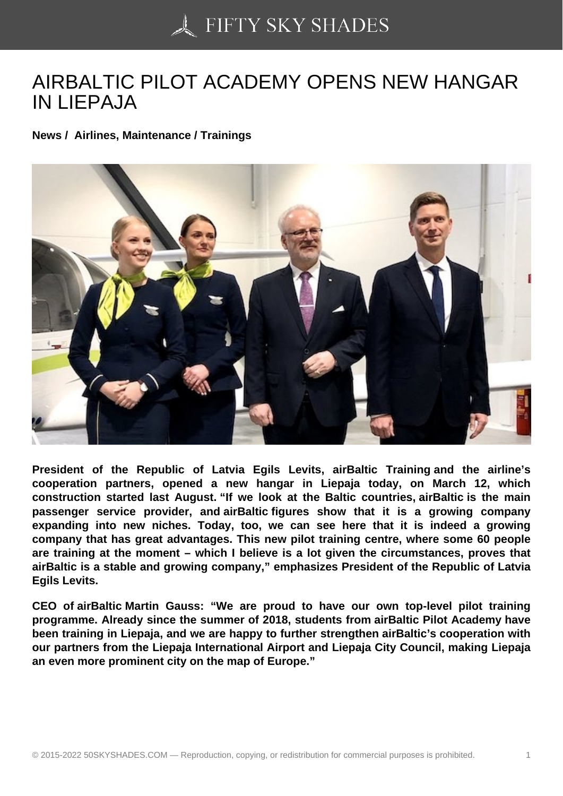## [AIRBALTIC PILOT AC](https://50skyshades.com)ADEMY OPENS NEW HANGAR IN LIEPAJA

News / Airlines, Maintenance / Trainings

President of the Republic of Latvia Egils Levits, airBaltic Training and the airline's cooperation partners, opened a new hangar in Liepaja today, on March 12, which construction started last August. "If we look at the Baltic countries, airBaltic is the main passenger service provider, and airBaltic figures show that it is a growing company expanding into new niches. Today, too, we can see here that it is indeed a growing company that has great advantages. This new pilot training centre, where some 60 people are training at the moment – which I believe is a lot given the circumstances, proves that airBaltic is a stable and growing company," emphasizes President of the Republic of Latvia Egils Levits.

CEO of airBaltic Martin Gauss: "We are proud to have our own top-level pilot training programme. Already since the summer of 2018, students from airBaltic Pilot Academy have been training in Liepaja, and we are happy to further strengthen airBaltic's cooperation with our partners from the Liepaja International Airport and Liepaja City Council, making Liepaja an even more prominent city on the map of Europe."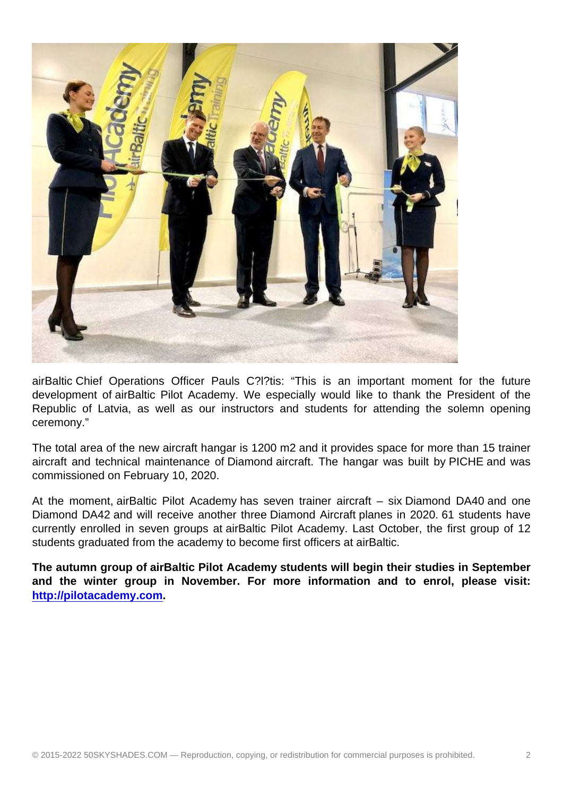airBaltic Chief Operations Officer Pauls C?l?tis: "This is an important moment for the future development of airBaltic Pilot Academy. We especially would like to thank the President of the Republic of Latvia, as well as our instructors and students for attending the solemn opening ceremony."

The total area of the new aircraft hangar is 1200 m2 and it provides space for more than 15 trainer aircraft and technical maintenance of Diamond aircraft. The hangar was built by PICHE and was commissioned on February 10, 2020.

At the moment, airBaltic Pilot Academy has seven trainer aircraft – six Diamond DA40 and one Diamond DA42 and will receive another three Diamond Aircraft planes in 2020. 61 students have currently enrolled in seven groups at airBaltic Pilot Academy. Last October, the first group of 12 students graduated from the academy to become first officers at airBaltic.

The autumn group of airBaltic Pilot Academy students will begin their studies in September and the winter group in November. For more information and to enrol, please visit: http://pilotacademy.com .